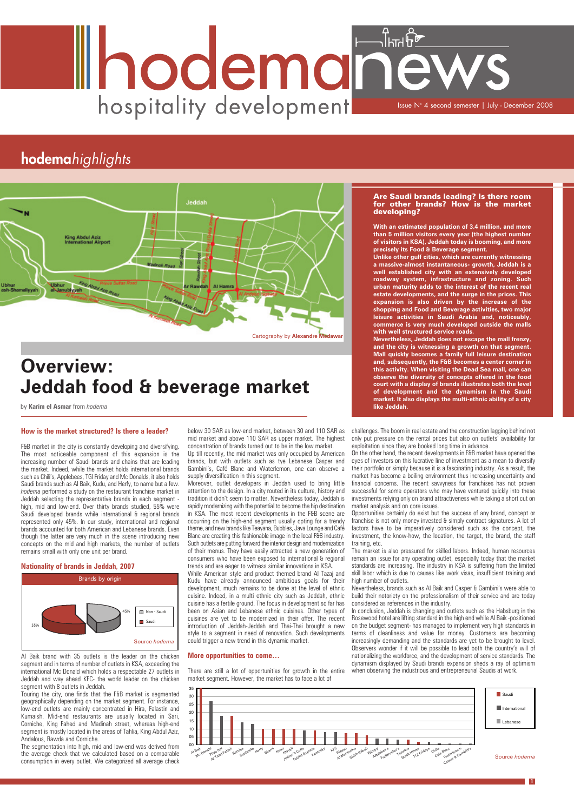### **How is the market structured? Is there a leader?**

F&B market in the city is constantly developing and diversifying. The most noticeable component of this expansion is the increasing number of Saudi brands and chains that are leading the market. Indeed, while the market holds international brands such as Chili's, Applebees, TGI Friday and Mc Donalds, it also holds Saudi brands such as Al Baik, Kudu, and Herfy, to name but a few. hodema performed a study on the restaurant franchise market in Holdah selecting the representative brands in each segment high, mid and low-end. Over thirty brands studied, 55% were Saudi developed brands while international & regional brands represented only 45%. In our study, international and regional brands accounted for both American and Lebanese brands. Even though the latter are very much in the scene introducing new concepts on the mid and high markets, the number of outlets remains small with only one unit per brand.

### **Nationality of brands in Jeddah, 2007**

Up till recently, the mid market was only occupied by American brands, but with outlets such as tye Lebanese Casper and Gambini's, Café Blanc and Waterlemon, one can observe a supply diversification in this segment.

Al Baik brand with 35 outlets is the leader on the chicken segment and in terms of number of outlets in KSA, exceeding the international Mc Donald which holds a respectable 27 outlets in Jeddah and way ahead KFC- the world leader on the chicken segment with 8 outlets in Jeddah.

Touring the city, one finds that the F&B market is segmented geographically depending on the market segment. For instance, low-end outlets are mainly concentrated in Hira, Falastin and Kumaish. Mid-end restaurants are usually located in Sari, Corniche, King Fahed and Madinah street, whereas high-end segment is mostly located in the areas of Tahlia, King Abdul Aziz, Andalous, Rawda and Corniche.

The segmentation into high, mid and low-end was derived from the average check that we calculated based on a comparable consumption in every outlet. We categorized all average check

below 30 SAR as low-end market, between 30 and 110 SAR as mid market and above 110 SAR as upper market. The highest concentration of brands turned out to be in the low market.

> The market is also pressured for skilled labors. Indeed, human resources remain an issue for any operating outlet, especially today that the market standards are increasing. The industry in KSA is suffering from the limited skill labor which is due to causes like work visas, insufficient training and high number of outlets.

Moreover, outlet developers in Jeddah used to bring little attention to the design. In a city routed in its culture, history and tradition it didn't seem to matter. Nevertheless today, Jeddah is rapidly modernizing with the potential to become the hip destination in KSA. The most recent developments in the F&B scene are occurring on the high-end segment usually opting for a trendy theme, and new brands like Teayana, Bubbles, Java Lounge and Café Blanc are creating this fashionable image in the local F&B industry. Such outlets are putting forward the interior design and modernization of their menus. They have easily attracted a new generation of consumers who have been exposed to international & regional trends and are eager to witness similar innovations in KSA.

> Nevertheless, brands such as Al Baik and Casper & Gambini's were able to build their notoriety on the professionalism of their service and are today considered as references in the industry.

Other types of In conclusion, Jeddah is changing and outlets such as the Habsburg in the Rosewood hotel are lifting standard in the high end while Al Baik -positioned on the budget segment- has managed to implement very high standards in terms of cleanliness and value for money. Customers are becoming increasingly demanding and the standards are yet to be brought to level. Observers wonder if it will be possible to lead both the country's will of nationalizing the workforce, and the development of service standards. The dynamism displayed by Saudi brands expansion sheds a ray of optimism when observing the industrious and entrepreneurial Saudis at work.

While American style and product themed brand Al Tazaj and Kudu have already announced ambitious goals for their development, much remains to be done at the level of ethnic cuisine. Indeed, in a multi ethnic city such as Jeddah, ethnic cuisine has a fertile ground. The focus in development so far has been on Asian and Lebanese ethnic cuisines. Other types of cuisines are yet to be modernized in their offer. The recent introduction of Jeddah-Jeddah and Thai-Thai brought a new style to a segment in need of renovation. Such developments could trigger a new trend in this dynamic market.

#### **More opportunities to come…**

There are still a lot of opportunities for growth in the entire market segment. However, the market has to face a lot of

challenges. The boom in real estate and the construction lagging behind not only put pressure on the rental prices but also on outlets' availability for exploitation since they are booked long time in advance.

On the other hand, the recent developments in F&B market have opened the eyes of investors on this lucrative line of investment as a mean to diversify their portfolio or simply because it is a fascinating industry. As a result, the market has become a boiling environment thus increasing uncertainty and financial concerns. The recent savvyness for franchises has not proven successful for some operators who may have ventured quickly into these investments relying only on brand attractiveness while taking a short cut on market analysis and on core issues.

Opportunities certainly do exist but the success of any brand, concept or franchise is not only money invested & simply contract signatures. A lot of factors have to be imperatively considered such as the concept, the investment, the know-how, the location, the target, the brand, the staff training, etc.

#### Are Saudi brands leading? Is there room for other brands? How is the market developing?

**With an estimated population of 3.4 million, and more than 5 million visitors every year (the highest number of visitors in KSA), Jeddah today is booming, and more precisely its Food & Beverage segment.**

**Unlike other gulf cities, which are currently witnessing a massive-almost instantaneous- growth, Jeddah is a well established city with an extensively developed roadway system, infrastructure and zoning. Such urban maturity adds to the interest of the recent real estate developments, and the surge in the prices. This expansion is also driven by the increase of the shopping and Food and Beverage activities, two major leisure activities in Saudi Arabia and, noticeably, commerce is very much developed outside the malls with well structured service roads.** 

**Nevertheless, Jeddah does not escape the mall frenzy, and the city is witnessing a growth on that segment. Mall quickly becomes a family full leisure destination and, subsequently, the F&B becomes a center corner in this activity. When visiting the Dead Sea mall, one can observe the diversity of concepts offered in the food court with a display of brands illustrates both the level of development and the dynamism in the Saudi market. It also displays the multi-ethnic ability of a city like Jeddah.**

# Ihodemanew hospitality development **ISSUE Nº 4 second semester | July - December 2008**

## **hodema***highlights*

**1**





## **Overview: Jeddah food & beverage market**

by **Karim el Asmar** from *hodema*

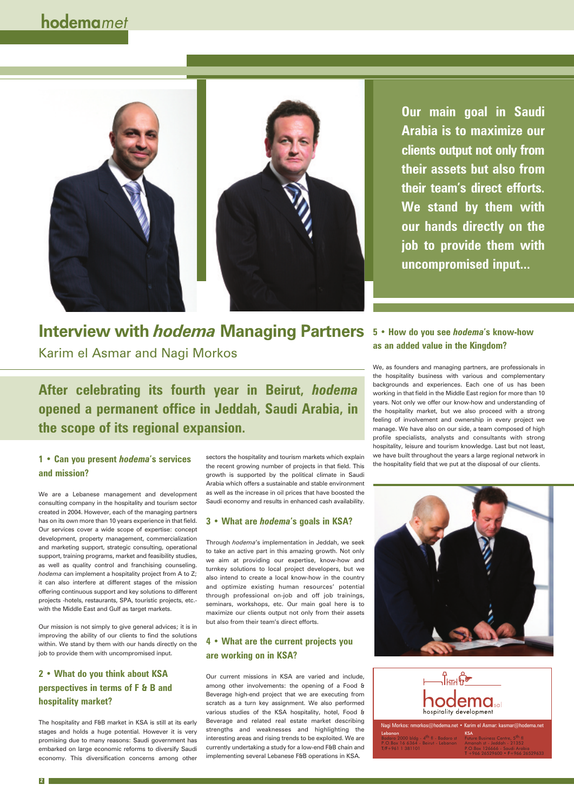## **Interview with** *hodema* **Managing Partners** Karim el Asmar and Nagi Morkos

We, as founders and managing partners, are professionals in the hospitality business with various and complementary backgrounds and experiences. Each one of us has been working in that field in the Middle East region for more than 10 years. Not only we offer our know-how and understanding of the hospitality market, but we also proceed with a strong feeling of involvement and ownership in every project we manage. We have also on our side, a team composed of high profile specialists, analysts and consultants with strong hospitality, leisure and tourism knowledge. Last but not least, we have built throughout the years a large regional network in 1 • Can you present *hodema*'s services sectors the hospitality and tourism markets which explain we have built infoughout the years a large regional network is the recent or projects in that field This the hospitality fie



## **5 • How do you see** *hodema***'s know-how as an added value in the Kingdom?**

## **and mission?**

We are a Lebanese management and development consulting company in the hospitality and tourism sector created in 2004. However, each of the managing partners has on its own more than 10 years experience in that field. Our services cover a wide scope of expertise: concept development, property management, commercialization and marketing support, strategic consulting, operational support, training programs, market and feasibility studies, as well as quality control and franchising counseling. *hodema* can implement a hospitality project from A to Z; it can also interfere at different stages of the mission offering continuous support and key solutions to different projects -hotels, restaurants, SPA, touristic projects, etc. with the Middle East and Gulf as target markets.

Our mission is not simply to give general advices; it is in improving the ability of our clients to find the solutions within. We stand by them with our hands directly on the job to provide them with uncompromised input.

## **2 • What do you think about KSA perspectives in terms of F & B and hospitality market?**

The hospitality and F&B market in KSA is still at its early stages and holds a huge potential. However it is very promising due to many reasons: Saudi government has embarked on large economic reforms to diversify Saudi economy. This diversification concerns among other

sectors the hospitality and tourism markets which explain the recent growing number of projects in that field. This growth is supported by the political climate in Saudi Arabia which offers a sustainable and stable environment as well as the increase in oil prices that have boosted the Saudi economy and results in enhanced cash availability.

### **3 • What are** *hodema***'s goals in KSA?**

Through *hodema*'s implementation in Jeddah, we seek to take an active part in this amazing growth. Not only we aim at providing our expertise, know-how and turnkey solutions to local project developers, but we also intend to create a local know-how in the country and optimize existing human resources' potential through professional on-job and off job trainings, seminars, workshops, etc. Our main goal here is to maximize our clients output not only from their assets but also from their team's direct efforts.

## **4 • What are the current projects you are working on in KSA?**

Our current missions in KSA are varied and include, among other involvements: the opening of a Food & Beverage high-end project that we are executing from scratch as a turn key assignment. We also performed various studies of the KSA hospitality, hotel, Food & Beverage and related real estate market describing strengths and weaknesses and highlighting the interesting areas and rising trends to be exploited. We are currently undertaking a study for a low-end F&B chain and implementing several Lebanese F&B operations in KSA.



## **hodema***met*



**After celebrating its fourth year in Beirut,** *hodema* **opened a permanent office in Jeddah, Saudi Arabia, in the scope of its regional expansion.**

**Our main goal in Saudi Arabia is to maximize our clients output not only from their assets but also from their team's direct efforts. We stand by them with our hands directly on the job to provide them with uncompromised input...**

| Nagi Morkos: nmorkos@hodema.net • Karim el Asmar: kasmar@hodema.net                                                      |                                                                                                                                                                    |
|--------------------------------------------------------------------------------------------------------------------------|--------------------------------------------------------------------------------------------------------------------------------------------------------------------|
| Lebanon<br>Badaro 2000 bldg - 4 <sup>th</sup> fl - Badaro st<br>P.O.Box 16 6364 - Beirut - Lebanon<br>$T/F+961$ 1 381101 | <b>KSA</b><br>Future Business Centre, 5 <sup>th</sup> fl<br>Amanah st - Jeddah - 21352<br>P.O.Box 126666 - Saudi Arabia<br>$T + 96626529600 \cdot F + 96626529633$ |

**2**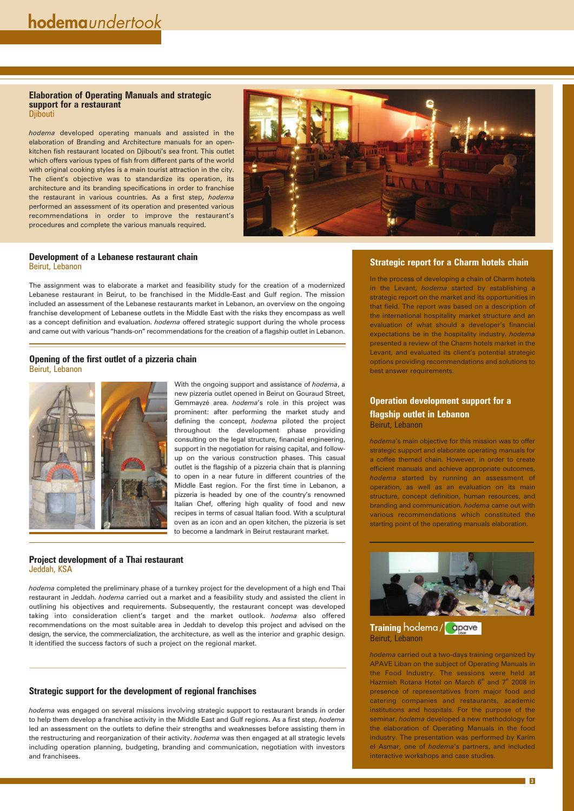## **Strategic report for a Charm hotels chain**

In the process of developing a chain of Charm hotels in the Levant, *hodema* started by establishing a strategic report on the market and its opportunities in that field. The report was based on a description of the international hospitality market structure and an evaluation of what should a developer's financial expectations be in the hospitality industry. *hodema* presented a review of the Charm hotels market in the Levant, and evaluated its client's potential strategic options providing recommendations and solutions to best answer requirements.

## **Operation development support for a flagship outlet in Lebanon** Beirut, Lebanon

*hodema*'s main objective for this mission was to offer strategic support and elaborate operating manuals for a coffee themed chain. However, in order to create efficient manuals and achieve appropriate outcomes, *hodema* started by running an assessment of operation, as well as an evaluation on its main structure, concept definition, human resources, and branding and communication. *hodema* came out with various recommendations which constituted the starting point of the operating manuals elaboration.





### **Elaboration of Operating Manuals and strategic support for a restaurant Djibouti**

*hodema* carried out a two-days training organized by APAVE Liban on the subject of Operating Manuals in the Food Industry. The sessions were held at Hazmieh Rotana Hotel on March  $6<sup>th</sup>$  and  $7<sup>th</sup>$  2008 in presence of representatives from major food and catering companies and restaurants, academic institutions and hospitals. For the purpose of the seminar, *hodema* developed a new methodology for the elaboration of Operating Manuals in the food industry. The presentation was performed by Karim el Asmar, one of *hodema*'s partners, and included interactive workshops and case studies.

## **Development of a Lebanese restaurant chain** Beirut, Lebanon

The assignment was to elaborate a market and feasibility study for the creation of a modernized Lebanese restaurant in Beirut, to be franchised in the Middle-East and Gulf region. The mission included an assessment of the Lebanese restaurants market in Lebanon, an overview on the ongoing franchise development of Lebanese outlets in the Middle East with the risks they encompass as well as a concept definition and evaluation. *hodema* offered strategic support during the whole process and came out with various "hands-on" recommendations for the creation of a flagship outlet in Lebanon.

*hodema* developed operating manuals and assisted in the elaboration of Branding and Architecture manuals for an openkitchen fish restaurant located on Djibouti's sea front. This outlet which offers various types of fish from different parts of the world with original cooking styles is a main tourist attraction in the city. The client's objective was to standardize its operation, its architecture and its branding specifications in order to franchise the restaurant in various countries. As a first step, *hodema* performed an assessment of its operation and presented various recommendations in order to improve the restaurant's procedures and complete the various manuals required.



## **Opening of the first outlet of a pizzeria chain** Beirut, Lebanon



With the ongoing support and assistance of *hodema*, a new pizzeria outlet opened in Beirut on Gouraud Street, Gemmayzé area. *hodema*'s role in this project was prominent: after performing the market study and defining the concept, *hodema* piloted the project throughout the development phase providing consulting on the legal structure, financial engineering, support in the negotiation for raising capital, and followup on the various construction phases. This casual outlet is the flagship of a pizzeria chain that is planning to open in a near future in different countries of the Middle East region. For the first time in Lebanon, a pizzeria is headed by one of the country's renowned Italian Chef, offering high quality of food and new recipes in terms of casual Italian food. With a sculptural oven as an icon and an open kitchen, the pizzeria is set to become a landmark in Beirut restaurant market.

## **Strategic support for the development of regional franchises**

*hodema* was engaged on several missions involving strategic support to restaurant brands in order to help them develop a franchise activity in the Middle East and Gulf regions. As a first step, *hodema* led an assessment on the outlets to define their strengths and weaknesses before assisting them in the restructuring and reorganization of their activity. *hodema* was then engaged at all strategic levels including operation planning, budgeting, branding and communication, negotiation with investors and franchisees.

**3**

## **Project development of a Thai restaurant**  Jeddah, KSA

*hodema* completed the preliminary phase of a turnkey project for the development of a high end Thai restaurant in Jeddah. *hodema* carried out a market and a feasibility study and assisted the client in outlining his objectives and requirements. Subsequently, the restaurant concept was developed

taking into consideration client's target and the market outlook. *hodema* also offered recommendations on the most suitable area in Jeddah to develop this project and advised on the design, the service, the commercialization, the architecture, as well as the interior and graphic design. It identified the success factors of such a project on the regional market.